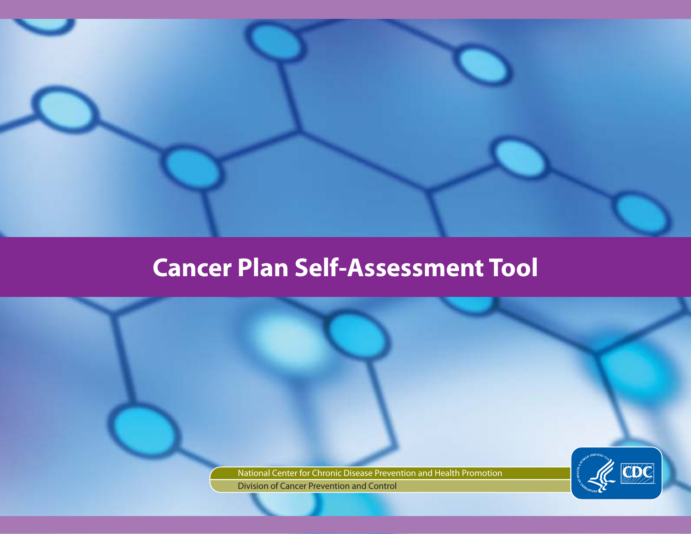

# **Cancer Plan Self-Assessment Tool**

CDC

Centers for Disease Control and Prevention | National Center for Chronic Disease Prevention and Health Promotion Division of Cancer Prevention and Control | Cancer Plan Self-Assessment Tool

National Center for Chronic Disease Prevention and Health Promotion Division of Cancer Prevention and Control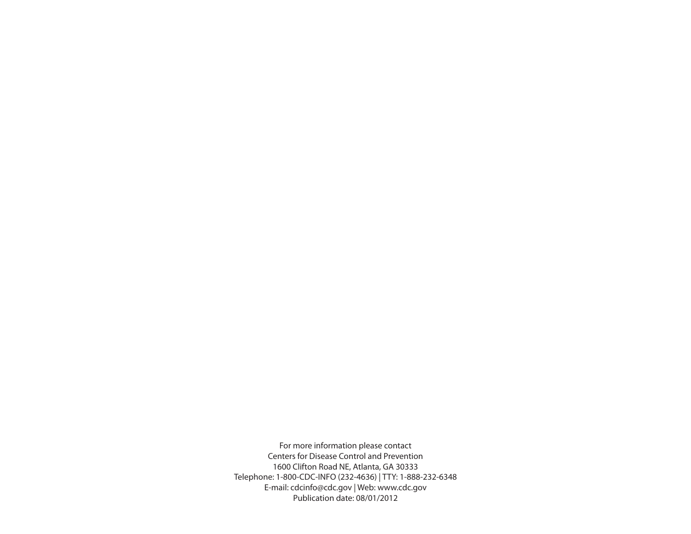For more information please contact Centers for Disease Control and Prevention 1600 Clifton Road NE, Atlanta, GA 30333 Telephone: 1-800-CDC-INFO (232-4636) | TTY: 1-888-232-6348 E-mail: [cdcinfo@cdc.gov](mailto:cdcinfo@cdc.gov) | Web: <www.cdc.gov> Publication date: 08/01/2012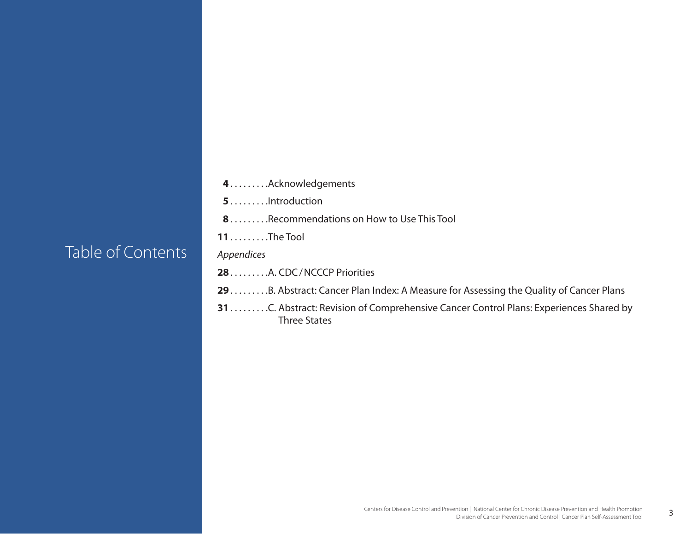### Table of Contents

**4**. . . . Acknowledgements

**5**. . . . . . . . . . Introduction

- **8**. . . . . . . . . Recommendations on How to Use This Tool
- **11**. . . . . The Tool

*Appendices*

28. . . . . . . . . . . A. CDC / NCCCP Priorities

- 29. . . . . . . . . . B. Abstract: Cancer Plan Index: A Measure for Assessing the Quality of Cancer Plans
- **31**. . . C. Abstract: Revision of Comprehensive Cancer Control Plans: Experiences Shared by Three States

3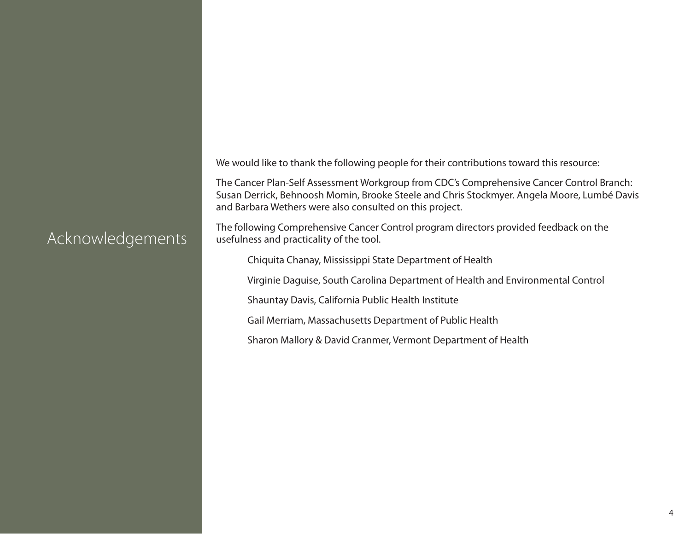We would like to thank the following people for their contributions toward this resource:

The Cancer Plan-Self Assessment Workgroup from CDC's Comprehensive Cancer Control Branch: Susan Derrick, Behnoosh Momin, Brooke Steele and Chris Stockmyer. Angela Moore, Lumbé Davis and Barbara Wethers were also consulted on this project.

The following Comprehensive Cancer Control program directors provided feedback on the usefulness and practicality of the tool.

Chiquita Chanay, Mississippi State Department of Health

Virginie Daguise, South Carolina Department of Health and Environmental Control

Shauntay Davis, California Public Health Institute

Gail Merriam, Massachusetts Department of Public Health

Sharon Mallory & David Cranmer, Vermont Department of Health

### Acknowledgements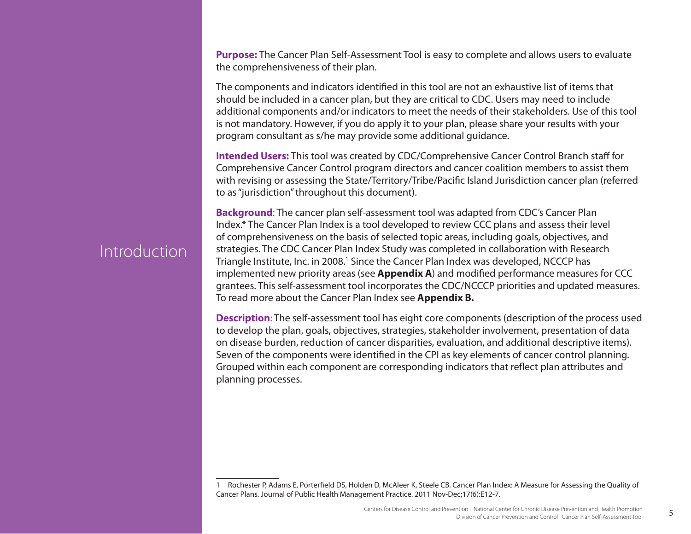**Purpose:** The Cancer Plan Self-Assessment Tool is easy to complete and allows users to evaluate the comprehensiveness of their plan.

The components and indicators identified in this tool are not an exhaustive list of items that should be included in a cancer plan, but they are critical to CDC. Users may need to include additional components and/or indicators to meet the needs of their stakeholders. Use of this tool is not mandatory. However, if you do apply it to your plan, please share your results with your program consultant as s/he may provide some additional guidance.

**Intended Users:** This tool was created by CDC/Comprehensive Cancer Control Branch staff for Comprehensive Cancer Control program directors and cancer coalition members to assist them with revising or assessing the State/Territory/Tribe/Pacific Island Jurisdiction cancer plan (referred to as "jurisdiction" throughout this document).

**Background**: The cancer plan self-assessment tool was adapted from CDC's Cancer Plan Index.\* The Cancer Plan Index is a tool developed to review CCC plans and assess their level of comprehensiveness on the basis of selected topic areas, including goals, objectives, and strategies. The CDC Cancer Plan Index Study was completed in collaboration with Research Triangle Institute, Inc. in 2008.1 Since the Cancer Plan Index was developed, NCCCP has implemented new priority areas (see **Appendix A**) and modified performance measures for CCC grantees. This self-assessment tool incorporates the CDC/NCCCP priorities and updated measures. To read more about the Cancer Plan Index see **Appendix B.**

**Description**: The self-assessment tool has eight core components (description of the process used to develop the plan, goals, objectives, strategies, stakeholder involvement, presentation of data on disease burden, reduction of cancer disparities, evaluation, and additional descriptive items). Seven of the components were identified in the CPI as key elements of cancer control planning. Grouped within each component are corresponding indicators that reflect plan attributes and planning processes.

5

### Introduction

<sup>1</sup> Rochester P, Adams E, Porterfield DS, Holden D, McAleer K, Steele CB. Cancer Plan Index: A Measure for Assessing the Quality of Cancer Plans. Journal of Public Health Management Practice. 2011 Nov-Dec;17(6):E12-7.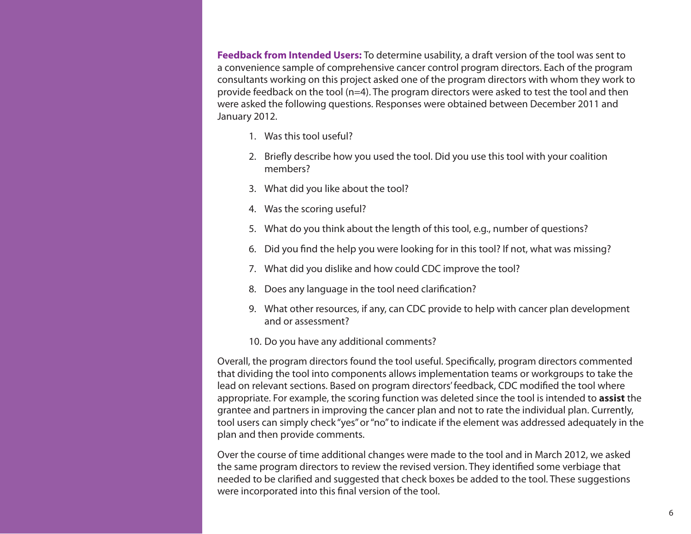**Feedback from Intended Users:** To determine usability, a draft version of the tool was sent to a convenience sample of comprehensive cancer control program directors. Each of the program consultants working on this project asked one of the program directors with whom they work to provide feedback on the tool (n=4). The program directors were asked to test the tool and then were asked the following questions. Responses were obtained between December 2011 and January 2012.

- 1. Was this tool useful?
- 2. Briefly describe how you used the tool. Did you use this tool with your coalition members?
- 3. What did you like about the tool?
- 4. Was the scoring useful?
- 5. What do you think about the length of this tool, e.g., number of questions?
- 6. Did you find the help you were looking for in this tool? If not, what was missing?
- 7. What did you dislike and how could CDC improve the tool?
- 8. Does any language in the tool need clarification?
- 9. What other resources, if any, can CDC provide to help with cancer plan development and or assessment?
- 10. Do you have any additional comments?

Overall, the program directors found the tool useful. Specifically, program directors commented that dividing the tool into components allows implementation teams or workgroups to take the lead on relevant sections. Based on program directors' feedback, CDC modified the tool where appropriate. For example, the scoring function was deleted since the tool is intended to **assist** the grantee and partners in improving the cancer plan and not to rate the individual plan. Currently, tool users can simply check "yes" or "no" to indicate if the element was addressed adequately in the plan and then provide comments.

Over the course of time additional changes were made to the tool and in March 2012, we asked the same program directors to review the revised version. They identified some verbiage that needed to be clarified and suggested that check boxes be added to the tool. These suggestions were incorporated into this final version of the tool.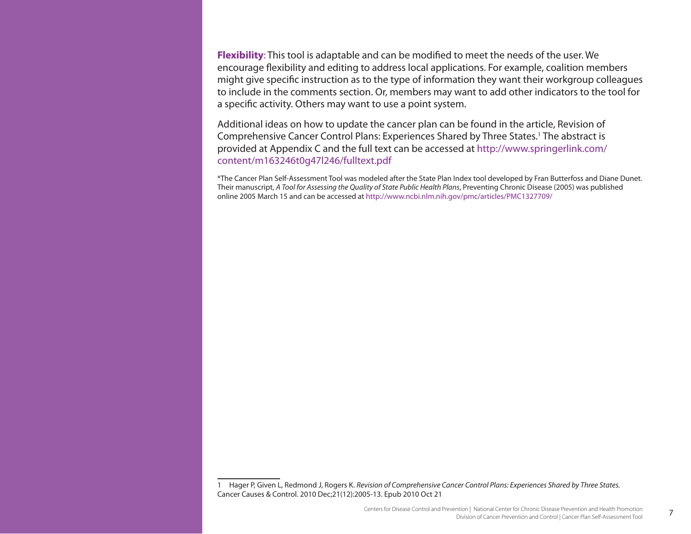**Flexibility**: This tool is adaptable and can be modified to meet the needs of the user. We encourage flexibility and editing to address local applications. For example, coalition members might give specific instruction as to the type of information they want their workgroup colleagues to include in the comments section. Or, members may want to add other indicators to the tool for a specific activity. Others may want to use a point system.

Additional ideas on how to update the cancer plan can be found in the article, Revision of Comprehensive Cancer Control Plans: Experiences Shared by Three States.<sup>1</sup> The abstract is provided at Appendix C and the full text can be accessed at [http://www.springerlink.com/](http://www.springerlink.com/content/m163246t0g47l246/fulltext.pdf) [content/m163246t0g47l246/fulltext.pdf](http://www.springerlink.com/content/m163246t0g47l246/fulltext.pdf)

\*The Cancer Plan Self-Assessment Tool was modeled after the State Plan Index tool developed by Fran Butterfoss and Diane Dunet. Their manuscript, *A Tool for Assessing the Quality of State Public Health Plans*, Preventing Chronic Disease (2005) was published online 2005 March 15 and can be accessed at <http://www.ncbi.nlm.nih.gov/pmc/articles/PMC1327709/>

1 Hager P, Given L, Redmond J, Rogers K. *Revision of Comprehensive Cancer Control Plans: Experiences Shared by Three States.*  Cancer Causes & Control. 2010 Dec;21(12):2005-13. Epub 2010 Oct 21

7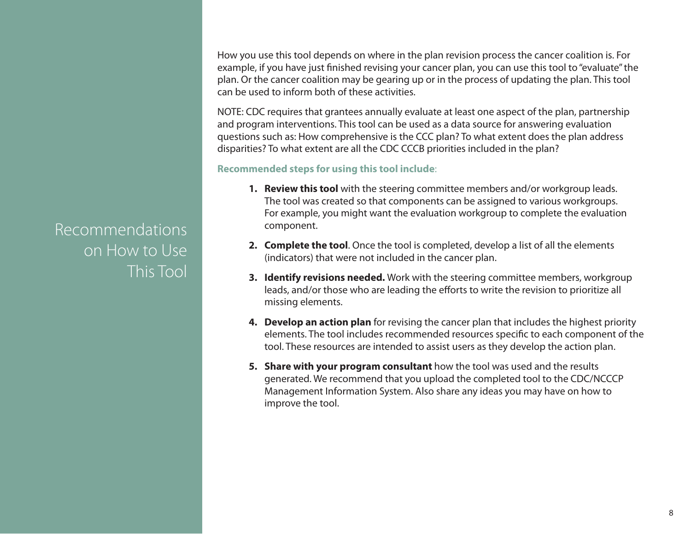How you use this tool depends on where in the plan revision process the cancer coalition is. For example, if you have just finished revising your cancer plan, you can use this tool to "evaluate" the plan. Or the cancer coalition may be gearing up or in the process of updating the plan. This tool can be used to inform both of these activities.

NOTE: CDC requires that grantees annually evaluate at least one aspect of the plan, partnership and program interventions. This tool can be used as a data source for answering evaluation questions such as: How comprehensive is the CCC plan? To what extent does the plan address disparities? To what extent are all the CDC CCCB priorities included in the plan?

#### **Recommended steps for using this tool include**:

- **1. Review this tool** with the steering committee members and/or workgroup leads. The tool was created so that components can be assigned to various workgroups. For example, you might want the evaluation workgroup to complete the evaluation component.
- **2. Complete the tool**. Once the tool is completed, develop a list of all the elements (indicators) that were not included in the cancer plan.
- **3. Identify revisions needed.** Work with the steering committee members, workgroup leads, and/or those who are leading the efforts to write the revision to prioritize all missing elements.
- **4. Develop an action plan** for revising the cancer plan that includes the highest priority elements. The tool includes recommended resources specific to each component of the tool. These resources are intended to assist users as they develop the action plan.
- **5. Share with your program consultant** how the tool was used and the results generated. We recommend that you upload the completed tool to the CDC/NCCCP Management Information System. Also share any ideas you may have on how to improve the tool.

Recommendations on How to Use This Tool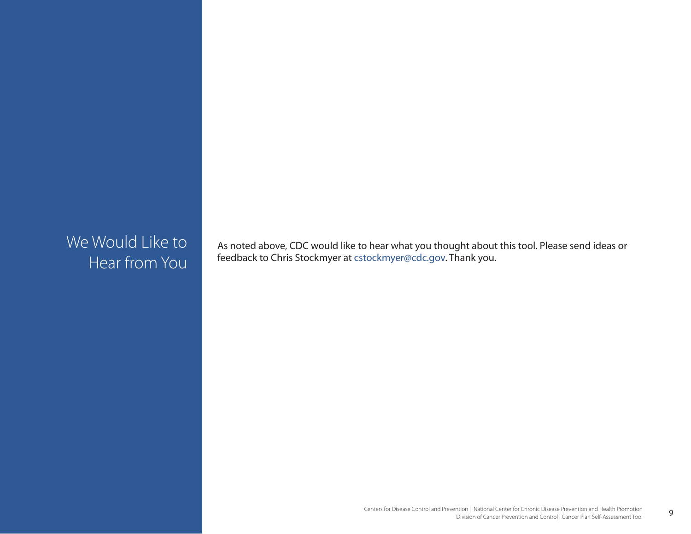### We Would Like to Hear from You

As noted above, CDC would like to hear what you thought about this tool. Please send ideas or feedback to Chris Stockmyer at <cstockmyer@cdc.gov>. Thank you.

9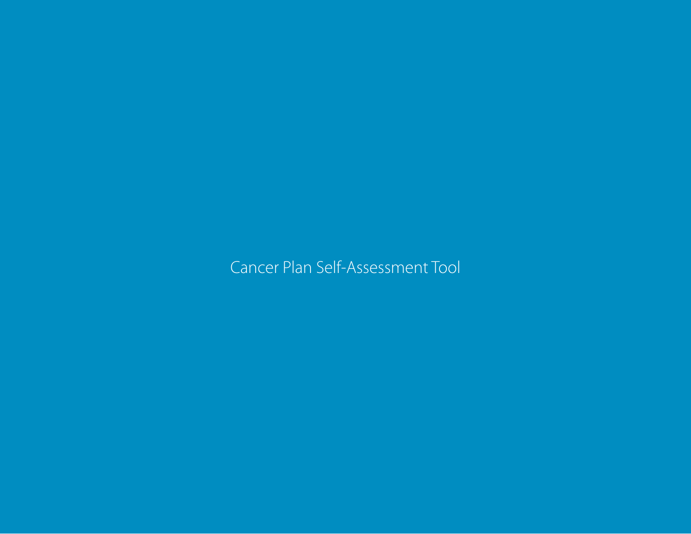Cancer Plan Self-Assessment Tool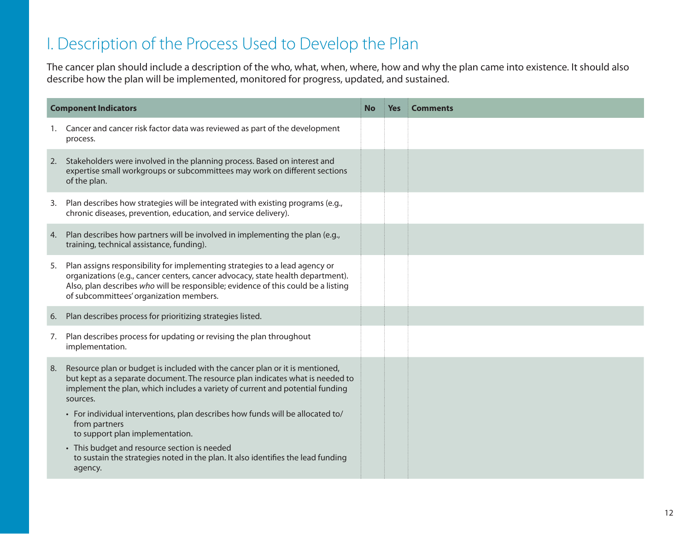### I. Description of the Process Used to Develop the Plan

The cancer plan should include a description of the who, what, when, where, how and why the plan came into existence. It should also describe how the plan will be implemented, monitored for progress, updated, and sustained.

| <b>Component Indicators</b> |                                                                                                                                                                                                                                                                                                | No | <b>Yes</b> | <b>Comments</b> |
|-----------------------------|------------------------------------------------------------------------------------------------------------------------------------------------------------------------------------------------------------------------------------------------------------------------------------------------|----|------------|-----------------|
| 1.                          | Cancer and cancer risk factor data was reviewed as part of the development<br>process.                                                                                                                                                                                                         |    |            |                 |
| 2.                          | Stakeholders were involved in the planning process. Based on interest and<br>expertise small workgroups or subcommittees may work on different sections<br>of the plan.                                                                                                                        |    |            |                 |
| 3.                          | Plan describes how strategies will be integrated with existing programs (e.g.,<br>chronic diseases, prevention, education, and service delivery).                                                                                                                                              |    |            |                 |
| 4.                          | Plan describes how partners will be involved in implementing the plan (e.g.,<br>training, technical assistance, funding).                                                                                                                                                                      |    |            |                 |
| 5.                          | Plan assigns responsibility for implementing strategies to a lead agency or<br>organizations (e.g., cancer centers, cancer advocacy, state health department).<br>Also, plan describes who will be responsible; evidence of this could be a listing<br>of subcommittees' organization members. |    |            |                 |
| 6.                          | Plan describes process for prioritizing strategies listed.                                                                                                                                                                                                                                     |    |            |                 |
| 7.                          | Plan describes process for updating or revising the plan throughout<br>implementation.                                                                                                                                                                                                         |    |            |                 |
| 8.                          | Resource plan or budget is included with the cancer plan or it is mentioned,<br>but kept as a separate document. The resource plan indicates what is needed to<br>implement the plan, which includes a variety of current and potential funding<br>sources.                                    |    |            |                 |
|                             | • For individual interventions, plan describes how funds will be allocated to/<br>from partners<br>to support plan implementation.                                                                                                                                                             |    |            |                 |
|                             | • This budget and resource section is needed<br>to sustain the strategies noted in the plan. It also identifies the lead funding<br>agency.                                                                                                                                                    |    |            |                 |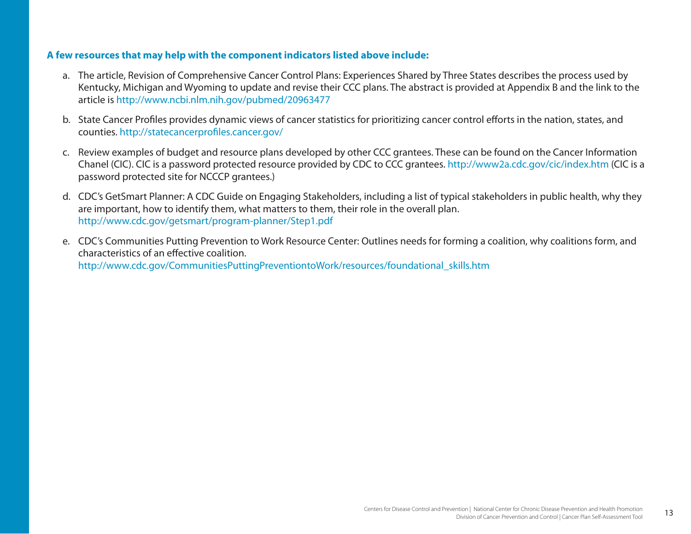- a. The article, Revision of Comprehensive Cancer Control Plans: Experiences Shared by Three States describes the process used by Kentucky, Michigan and Wyoming to update and revise their CCC plans. The abstract is provided at Appendix B and the link to the article is<http://www.ncbi.nlm.nih.gov/pubmed/20963477>
- b. State Cancer Profiles provides dynamic views of cancer statistics for prioritizing cancer control efforts in the nation, states, and counties.<http://statecancerprofiles.cancer.gov/>
- c. Review examples of budget and resource plans developed by other CCC grantees. These can be found on the Cancer Information Chanel (CIC). CIC is a password protected resource provided by CDC to CCC grantees.<http://www2a.cdc.gov/cic/index.htm>(CIC is a password protected site for NCCCP grantees.)
- d. CDC's GetSmart Planner: A CDC Guide on Engaging Stakeholders, including a list of typical stakeholders in public health, why they are important, how to identify them, what matters to them, their role in the overall plan. <http://www.cdc.gov/getsmart/program-planner/Step1.pdf>
- e. CDC's Communities Putting Prevention to Work Resource Center: Outlines needs for forming a coalition, why coalitions form, and characteristics of an effective coalition. [http://www.cdc.gov/CommunitiesPuttingPreventiontoWork/resources/foundational\\_skills.htm](http://www.cdc.gov/CommunitiesPuttingPreventiontoWork/resources/foundational_skills.htm)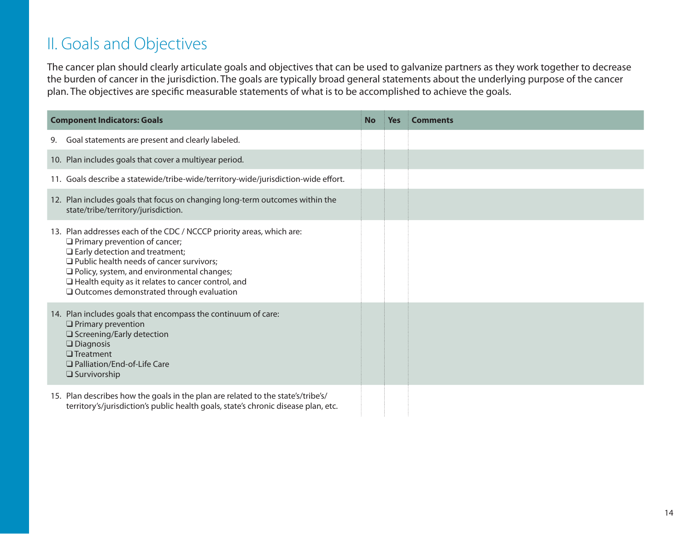# II. Goals and Objectives

The cancer plan should clearly articulate goals and objectives that can be used to galvanize partners as they work together to decrease the burden of cancer in the jurisdiction. The goals are typically broad general statements about the underlying purpose of the cancer plan. The objectives are specific measurable statements of what is to be accomplished to achieve the goals.

| <b>Component Indicators: Goals</b> |                                                                                                                                                                                                                                                                                                                                                                                | <b>No</b> | <b>Yes</b> | <b>Comments</b> |
|------------------------------------|--------------------------------------------------------------------------------------------------------------------------------------------------------------------------------------------------------------------------------------------------------------------------------------------------------------------------------------------------------------------------------|-----------|------------|-----------------|
| 9.                                 | Goal statements are present and clearly labeled.                                                                                                                                                                                                                                                                                                                               |           |            |                 |
|                                    | 10. Plan includes goals that cover a multiyear period.                                                                                                                                                                                                                                                                                                                         |           |            |                 |
|                                    | 11. Goals describe a statewide/tribe-wide/territory-wide/jurisdiction-wide effort.                                                                                                                                                                                                                                                                                             |           |            |                 |
|                                    | 12. Plan includes goals that focus on changing long-term outcomes within the<br>state/tribe/territory/jurisdiction.                                                                                                                                                                                                                                                            |           |            |                 |
|                                    | 13. Plan addresses each of the CDC / NCCCP priority areas, which are:<br>$\Box$ Primary prevention of cancer;<br>$\Box$ Early detection and treatment;<br>$\Box$ Public health needs of cancer survivors;<br>$\Box$ Policy, system, and environmental changes;<br>$\Box$ Health equity as it relates to cancer control, and<br>$\Box$ Outcomes demonstrated through evaluation |           |            |                 |
|                                    | 14. Plan includes goals that encompass the continuum of care:<br>$\Box$ Primary prevention<br>□ Screening/Early detection<br>$\square$ Diagnosis<br>$\Box$ Treatment<br>□ Palliation/End-of-Life Care<br>$\square$ Survivorship                                                                                                                                                |           |            |                 |
|                                    | 15. Plan describes how the goals in the plan are related to the state's/tribe's/<br>territory's/jurisdiction's public health goals, state's chronic disease plan, etc.                                                                                                                                                                                                         |           |            |                 |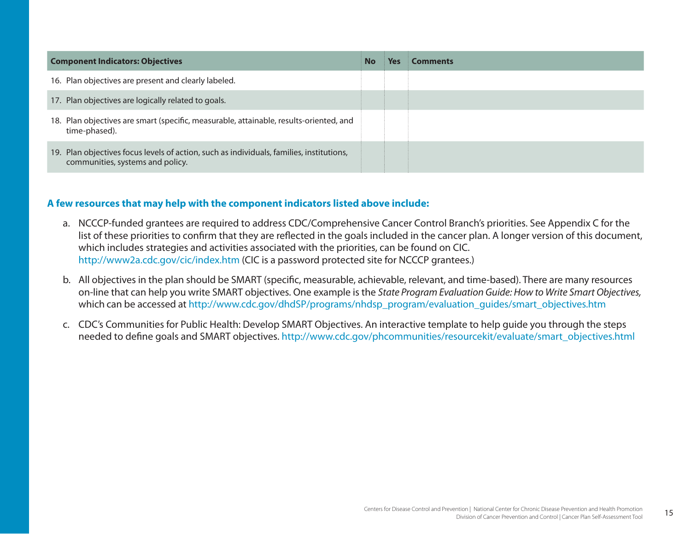| <b>Component Indicators: Objectives</b>                                                                                      |  | Yes | <b>Comments</b> |
|------------------------------------------------------------------------------------------------------------------------------|--|-----|-----------------|
| 16. Plan objectives are present and clearly labeled.                                                                         |  |     |                 |
| 17. Plan objectives are logically related to goals.                                                                          |  |     |                 |
| 18. Plan objectives are smart (specific, measurable, attainable, results-oriented, and<br>time-phased).                      |  |     |                 |
| 19. Plan objectives focus levels of action, such as individuals, families, institutions,<br>communities, systems and policy. |  |     |                 |

- a. NCCCP-funded grantees are required to address CDC/Comprehensive Cancer Control Branch's priorities. See Appendix C for the list of these priorities to confirm that they are reflected in the goals included in the cancer plan. A longer version of this document, which includes strategies and activities associated with the priorities, can be found on CIC. <http://www2a.cdc.gov/cic/index.htm>(CIC is a password protected site for NCCCP grantees.)
- b. All objectives in the plan should be SMART (specific, measurable, achievable, relevant, and time-based). There are many resources on-line that can help you write SMART objectives. One example is the *State Program Evaluation Guide: How to Write Smart Objectives,*  which can be accessed at [http://www.cdc.gov/dhdSP/programs/nhdsp\\_program/evaluation\\_guides/smart\\_objectives.htm](http://www.cdc.gov/dhdSP/programs/nhdsp_program/evaluation_guides/smart_objectives.htm)
- c. CDC's Communities for Public Health: Develop SMART Objectives. An interactive template to help guide you through the steps needed to define goals and SMART objectives. [http://www.cdc.gov/phcommunities/resourcekit/evaluate/smart\\_objectives.html](http://www.cdc.gov/phcommunities/resourcekit/evaluate/smart_objectives.html)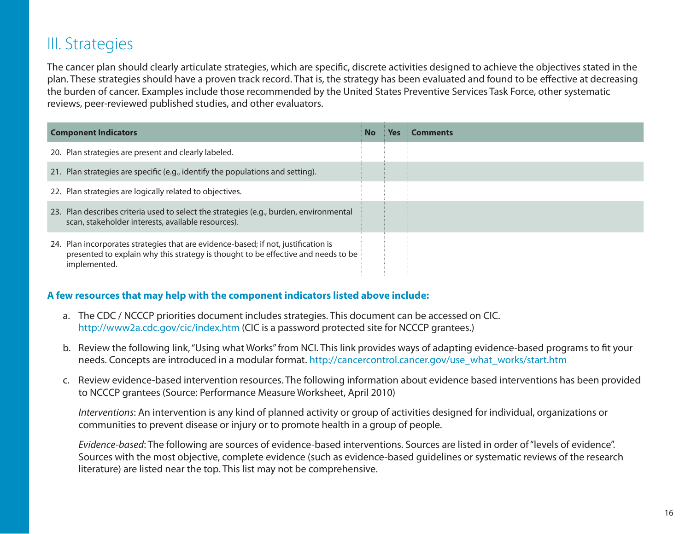### III. Strategies

The cancer plan should clearly articulate strategies, which are specific, discrete activities designed to achieve the objectives stated in the plan. These strategies should have a proven track record. That is, the strategy has been evaluated and found to be effective at decreasing the burden of cancer. Examples include those recommended by the United States Preventive Services Task Force, other systematic reviews, peer-reviewed published studies, and other evaluators.

| <b>Component Indicators</b>                                                                                                                                                             |  | Yes | Comments |
|-----------------------------------------------------------------------------------------------------------------------------------------------------------------------------------------|--|-----|----------|
| 20. Plan strategies are present and clearly labeled.                                                                                                                                    |  |     |          |
| 21. Plan strategies are specific (e.g., identify the populations and setting).                                                                                                          |  |     |          |
| 22. Plan strategies are logically related to objectives.                                                                                                                                |  |     |          |
| 23. Plan describes criteria used to select the strategies (e.g., burden, environmental<br>scan, stakeholder interests, available resources).                                            |  |     |          |
| 24. Plan incorporates strategies that are evidence-based; if not, justification is<br>presented to explain why this strategy is thought to be effective and needs to be<br>implemented. |  |     |          |

#### **A few resources that may help with the component indicators listed above include:**

- a. The CDC / NCCCP priorities document includes strategies. This document can be accessed on CIC. <http://www2a.cdc.gov/cic/index.htm>(CIC is a password protected site for NCCCP grantees.)
- b. Review the following link, "Using what Works" from NCI. This link provides ways of adapting evidence-based programs to fit your needs. Concepts are introduced in a modular format. [http://cancercontrol.cancer.gov/use\\_what\\_works/start.htm](http://cancercontrol.cancer.gov/use_what_works/start.htm)
- c. Review evidence-based intervention resources. The following information about evidence based interventions has been provided to NCCCP grantees (Source: Performance Measure Worksheet, April 2010)

*Interventions*: An intervention is any kind of planned activity or group of activities designed for individual, organizations or communities to prevent disease or injury or to promote health in a group of people.

*Evidence-based*: The following are sources of evidence-based interventions. Sources are listed in order of "levels of evidence". Sources with the most objective, complete evidence (such as evidence-based guidelines or systematic reviews of the research literature) are listed near the top. This list may not be comprehensive.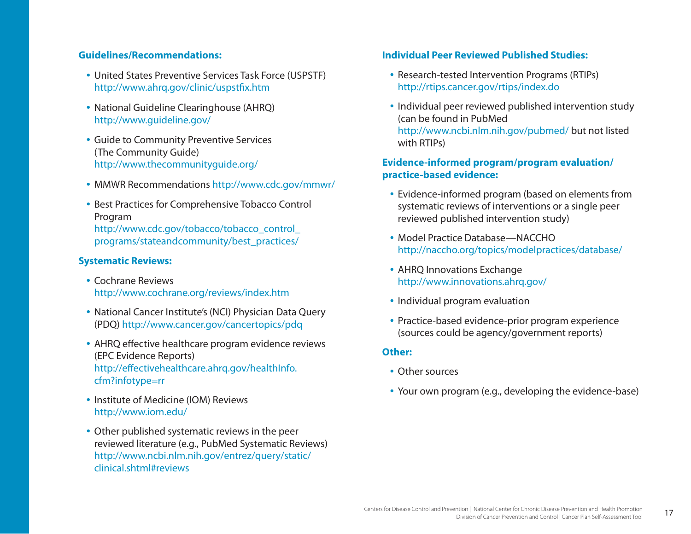#### **Guidelines/Recommendations:**

- United States Preventive Services Task Force (USPSTF) <http://www.ahrq.gov/clinic/uspstfix.htm>
- National Guideline Clearinghouse (AHRQ) <http://www.guideline.gov/>
- Guide to Community Preventive Services (The Community Guide) <http://www.thecommunityguide.org/>
- • MMWR Recommendations<http://www.cdc.gov/mmwr/>
- Best Practices for Comprehensive Tobacco Control Program [http://www.cdc.gov/tobacco/tobacco\\_control\\_](http://www.cdc.gov/tobacco/tobacco_control_programs/stateandcommunity/best_practices/) [programs/stateandcommunity/best\\_practices/](http://www.cdc.gov/tobacco/tobacco_control_programs/stateandcommunity/best_practices/)

#### **Systematic Reviews:**

- Cochrane Reviews <http://www.cochrane.org/reviews/index.htm>
- National Cancer Institute's (NCI) Physician Data Query (PDQ) <http://www.cancer.gov/cancertopics/pdq>
- AHRQ effective healthcare program evidence reviews (EPC Evidence Reports) [http://effectivehealthcare.ahrq.gov/healthInfo.](http://effectivehealthcare.ahrq.gov/healthInfo.cfm?infotype=rr) [cfm?infotype=rr](http://effectivehealthcare.ahrq.gov/healthInfo.cfm?infotype=rr)
- Institute of Medicine (IOM) Reviews <http://www.iom.edu/>
- Other published systematic reviews in the peer reviewed literature (e.g., PubMed Systematic Reviews) [http://www.ncbi.nlm.nih.gov/entrez/query/static/](http://www.ncbi.nlm.nih.gov/entrez/query/static/clinical.shtml#reviews) [clinical.shtml#reviews](http://www.ncbi.nlm.nih.gov/entrez/query/static/clinical.shtml#reviews)

#### **Individual Peer Reviewed Published Studies:**

- Research-tested Intervention Programs (RTIPs) <http://rtips.cancer.gov/rtips/index.do>
- Individual peer reviewed published intervention study (can be found in PubMed [http://www.ncbi.nlm.nih.gov/pubmed/](http://www.ncbi.nlm.nih.gov/pubmed) but not listed with RTIPs)

#### **Evidence-informed program/program evaluation/ practice-based evidence:**

- Evidence-informed program (based on elements from systematic reviews of interventions or a single peer reviewed published intervention study)
- Model Practice Database—NACCHO <http://naccho.org/topics/modelpractices/database>/
- AHRQ Innovations Exchange [http://www.innovations.ahrq.gov/](http://www.innovations.ahrq.gov)
- Individual program evaluation
- Practice-based evidence-prior program experience (sources could be agency/government reports)

#### **Other:**

- Other sources
- Your own program (e.g., developing the evidence-base)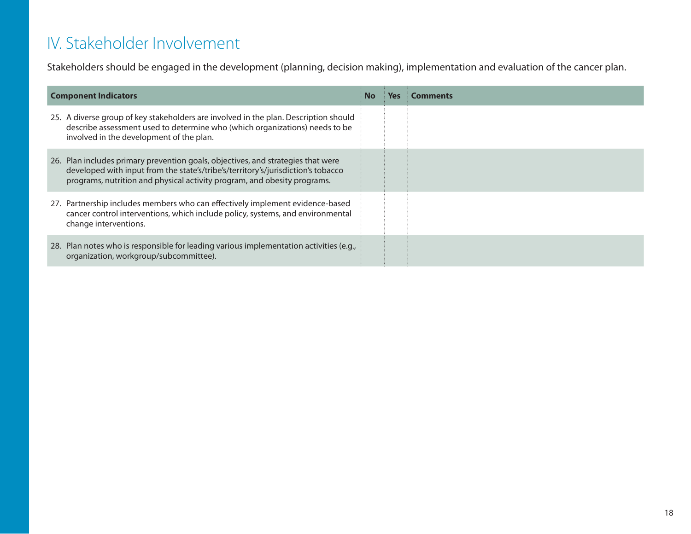# IV. Stakeholder Involvement

Stakeholders should be engaged in the development (planning, decision making), implementation and evaluation of the cancer plan.

| <b>Component Indicators</b><br><b>No</b>                                                                                                                                                                                                         |  | <b>Yes</b> | <b>Comments</b> |
|--------------------------------------------------------------------------------------------------------------------------------------------------------------------------------------------------------------------------------------------------|--|------------|-----------------|
| 25. A diverse group of key stakeholders are involved in the plan. Description should<br>describe assessment used to determine who (which organizations) needs to be<br>involved in the development of the plan.                                  |  |            |                 |
| 26. Plan includes primary prevention goals, objectives, and strategies that were<br>developed with input from the state's/tribe's/territory's/jurisdiction's tobacco<br>programs, nutrition and physical activity program, and obesity programs. |  |            |                 |
| 27. Partnership includes members who can effectively implement evidence-based<br>cancer control interventions, which include policy, systems, and environmental<br>change interventions.                                                         |  |            |                 |
| 28. Plan notes who is responsible for leading various implementation activities (e.g.,<br>organization, workgroup/subcommittee).                                                                                                                 |  |            |                 |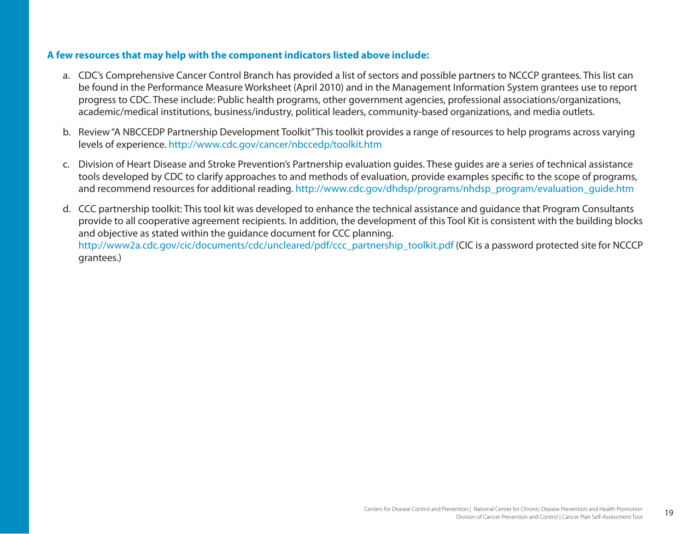- a. CDC's Comprehensive Cancer Control Branch has provided a list of sectors and possible partners to NCCCP grantees. This list can be found in the Performance Measure Worksheet (April 2010) and in the Management Information System grantees use to report progress to CDC. These include: Public health programs, other government agencies, professional associations/organizations, academic/medical institutions, business/industry, political leaders, community-based organizations, and media outlets.
- b. Review "A NBCCEDP Partnership Development Toolkit" This toolkit provides a range of resources to help programs across varying levels of experience.<http://www.cdc.gov/cancer/nbccedp/toolkit.htm>
- c. Division of Heart Disease and Stroke Prevention's Partnership evaluation guides. These guides are a series of technical assistance tools developed by CDC to clarify approaches to and methods of evaluation, provide examples specific to the scope of programs, and recommend resources for additional reading. [http://www.cdc.gov/dhdsp/programs/nhdsp\\_program/evaluation\\_guide.htm](http://www.cdc.gov/dhdsp/programs/nhdsp_program/evaluation_guide.htm)
- d. CCC partnership toolkit: This tool kit was developed to enhance the technical assistance and guidance that Program Consultants provide to all cooperative agreement recipients. In addition, the development of this Tool Kit is consistent with the building blocks and objective as stated within the guidance document for CCC planning.

[http://www2a.cdc.gov/cic/documents/cdc/uncleared/pdf/ccc\\_partnership\\_toolkit.pdf](http://www2a.cdc.gov/cic/documents/cdc/uncleared/pdf/ccc_partnership_toolkit.pdf) (CIC is a password protected site for NCCCP grantees.)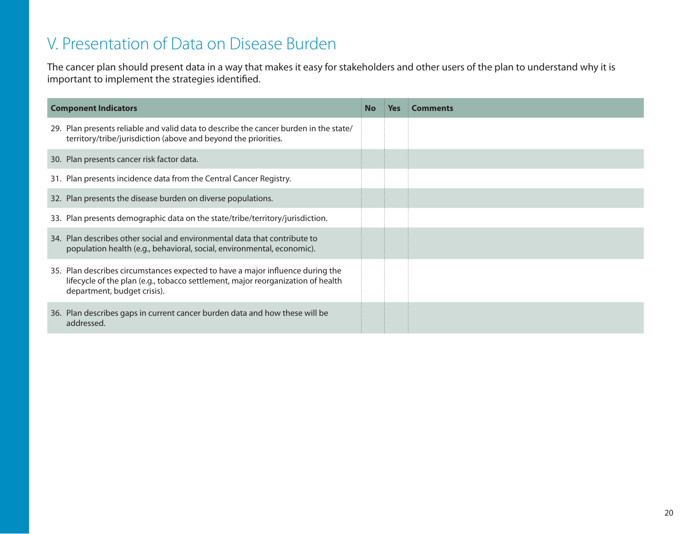### V. Presentation of Data on Disease Burden

The cancer plan should present data in a way that makes it easy for stakeholders and other users of the plan to understand why it is important to implement the strategies identified.

| <b>Component Indicators</b> |                                                                                                                                                                                                  | No | <b>Yes</b> | <b>Comments</b> |
|-----------------------------|--------------------------------------------------------------------------------------------------------------------------------------------------------------------------------------------------|----|------------|-----------------|
|                             | 29. Plan presents reliable and valid data to describe the cancer burden in the state/<br>territory/tribe/jurisdiction (above and beyond the priorities.                                          |    |            |                 |
|                             | 30. Plan presents cancer risk factor data.                                                                                                                                                       |    |            |                 |
|                             | 31. Plan presents incidence data from the Central Cancer Registry.                                                                                                                               |    |            |                 |
|                             | 32. Plan presents the disease burden on diverse populations.                                                                                                                                     |    |            |                 |
|                             | 33. Plan presents demographic data on the state/tribe/territory/jurisdiction.                                                                                                                    |    |            |                 |
|                             | 34. Plan describes other social and environmental data that contribute to<br>population health (e.g., behavioral, social, environmental, economic).                                              |    |            |                 |
|                             | 35. Plan describes circumstances expected to have a major influence during the<br>lifecycle of the plan (e.g., tobacco settlement, major reorganization of health<br>department, budget crisis). |    |            |                 |
|                             | 36. Plan describes gaps in current cancer burden data and how these will be<br>addressed.                                                                                                        |    |            |                 |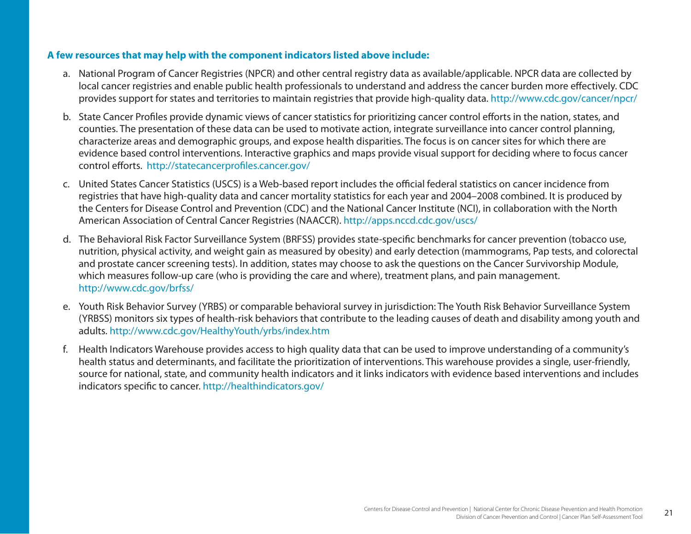- a. National Program of Cancer Registries (NPCR) and other central registry data as available/applicable. NPCR data are collected by local cancer registries and enable public health professionals to understand and address the cancer burden more effectively. CDC provides support for states and territories to maintain registries that provide high-quality data.<http://www.cdc.gov/cancer/npcr>/
- b. State Cancer Profiles provide dynamic views of cancer statistics for prioritizing cancer control efforts in the nation, states, and counties. The presentation of these data can be used to motivate action, integrate surveillance into cancer control planning, characterize areas and demographic groups, and expose health disparities. The focus is on cancer sites for which there are evidence based control interventions. Interactive graphics and maps provide visual support for deciding where to focus cancer control efforts. <http://statecancerprofiles.cancer.gov>/
- c. United States Cancer Statistics (USCS) is a Web-based report includes the official federal statistics on cancer incidence from registries that have high-quality data and cancer mortality statistics for each year and 2004–2008 combined. It is produced by the Centers for Disease Control and Prevention (CDC) and the National Cancer Institute (NCI), in collaboration with the North American Association of Central Cancer Registries (NAACCR). <http://apps.nccd.cdc.gov/uscs>/
- d. The Behavioral Risk Factor Surveillance System (BRFSS) provides state-specific benchmarks for cancer prevention (tobacco use, nutrition, physical activity, and weight gain as measured by obesity) and early detection (mammograms, Pap tests, and colorectal and prostate cancer screening tests). In addition, states may choose to ask the questions on the Cancer Survivorship Module, which measures follow-up care (who is providing the care and where), treatment plans, and pain management. [http://www.cdc.gov/brfss/](http://www.cdc.gov/brfss)
- e. Youth Risk Behavior Survey (YRBS) or comparable behavioral survey in jurisdiction: The Youth Risk Behavior Surveillance System (YRBSS) monitors six types of health-risk behaviors that contribute to the leading causes of death and disability among youth and adults. <http://www.cdc.gov/HealthyYouth/yrbs/index.htm>
- f. Health Indicators Warehouse provides access to high quality data that can be used to improve understanding of a community's health status and determinants, and facilitate the prioritization of interventions. This warehouse provides a single, user-friendly, source for national, state, and community health indicators and it links indicators with evidence based interventions and includes indicators specific to cancer. <http://healthindicators.gov>/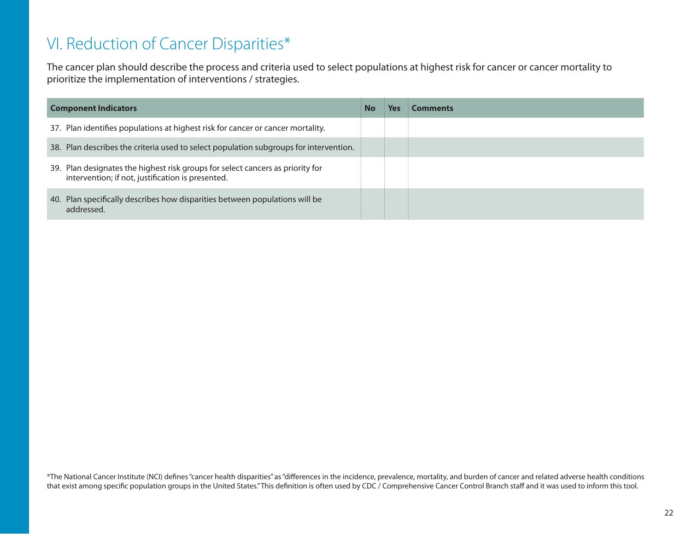# VI. Reduction of Cancer Disparities\*

The cancer plan should describe the process and criteria used to select populations at highest risk for cancer or cancer mortality to prioritize the implementation of interventions / strategies.

| <b>Component Indicators</b>                                                                                                         |  | Yes | Comments |
|-------------------------------------------------------------------------------------------------------------------------------------|--|-----|----------|
| 37. Plan identifies populations at highest risk for cancer or cancer mortality.                                                     |  |     |          |
| 38. Plan describes the criteria used to select population subgroups for intervention.                                               |  |     |          |
| 39. Plan designates the highest risk groups for select cancers as priority for<br>intervention; if not, justification is presented. |  |     |          |
| 40. Plan specifically describes how disparities between populations will be<br>addressed.                                           |  |     |          |

\*The National Cancer Institute (NCI) defines "cancer health disparities" as "differences in the incidence, prevalence, mortality, and burden of cancer and related adverse health conditions that exist among specific population groups in the United States." This definition is often used by CDC / Comprehensive Cancer Control Branch staff and it was used to inform this tool.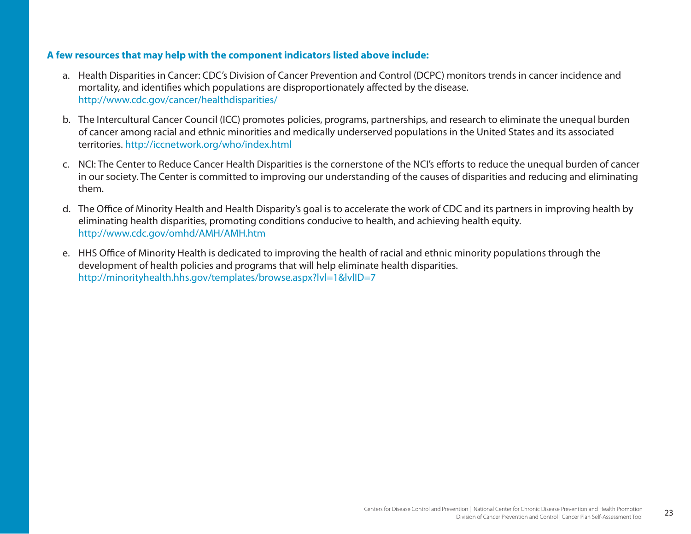- a. Health Disparities in Cancer: CDC's Division of Cancer Prevention and Control (DCPC) monitors trends in cancer incidence and mortality, and identifies which populations are disproportionately affected by the disease. [http://www.cdc.gov/cancer/healthdisparities/](http://www.cdc.gov/cancer/healthdisparities)
- b. The Intercultural Cancer Council (ICC) promotes policies, programs, partnerships, and research to eliminate the unequal burden of cancer among racial and ethnic minorities and medically underserved populations in the United States and its associated territories. <http://iccnetwork.org/who/index.html>
- c. NCI: The Center to Reduce Cancer Health Disparities is the cornerstone of the NCI's efforts to reduce the unequal burden of cancer in our society. The Center is committed to improving our understanding of the causes of disparities and reducing and eliminating them.
- d. The Office of Minority Health and Health Disparity's goal is to accelerate the work of CDC and its partners in improving health by eliminating health disparities, promoting conditions conducive to health, and achieving health equity. <http://www.cdc.gov/omhd/AMH/AMH.htm>
- e. HHS Office of Minority Health is dedicated to improving the health of racial and ethnic minority populations through the development of health policies and programs that will help eliminate health disparities. <http://minorityhealth.hhs.gov/templates/browse.aspx?lvl=1&lvlID=7>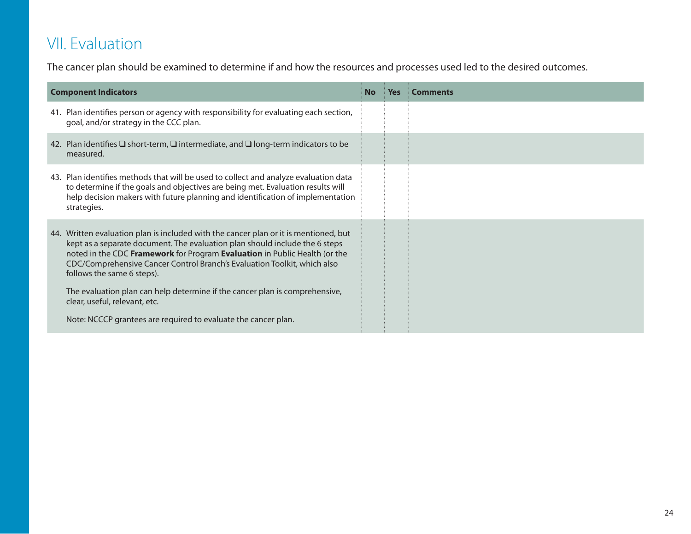# VII. Evaluation

The cancer plan should be examined to determine if and how the resources and processes used led to the desired outcomes.

| <b>Component Indicators</b>                                                                                                                                                                                                                                                                                                                                                                                                                                                                                                                   | No | <b>Yes</b> | <b>Comments</b> |
|-----------------------------------------------------------------------------------------------------------------------------------------------------------------------------------------------------------------------------------------------------------------------------------------------------------------------------------------------------------------------------------------------------------------------------------------------------------------------------------------------------------------------------------------------|----|------------|-----------------|
| 41. Plan identifies person or agency with responsibility for evaluating each section,<br>goal, and/or strategy in the CCC plan.                                                                                                                                                                                                                                                                                                                                                                                                               |    |            |                 |
| 42. Plan identifies $\Box$ short-term, $\Box$ intermediate, and $\Box$ long-term indicators to be<br>measured.                                                                                                                                                                                                                                                                                                                                                                                                                                |    |            |                 |
| 43. Plan identifies methods that will be used to collect and analyze evaluation data<br>to determine if the goals and objectives are being met. Evaluation results will<br>help decision makers with future planning and identification of implementation<br>strategies.                                                                                                                                                                                                                                                                      |    |            |                 |
| 44. Written evaluation plan is included with the cancer plan or it is mentioned, but<br>kept as a separate document. The evaluation plan should include the 6 steps<br>noted in the CDC Framework for Program Evaluation in Public Health (or the<br>CDC/Comprehensive Cancer Control Branch's Evaluation Toolkit, which also<br>follows the same 6 steps).<br>The evaluation plan can help determine if the cancer plan is comprehensive,<br>clear, useful, relevant, etc.<br>Note: NCCCP grantees are required to evaluate the cancer plan. |    |            |                 |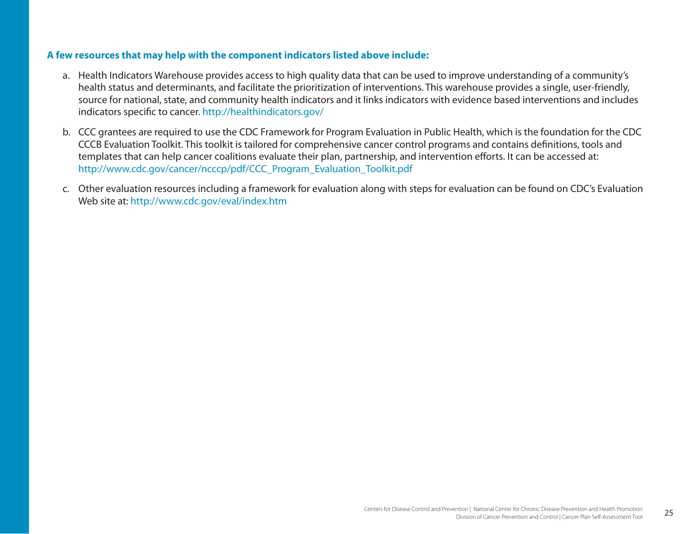- a. Health Indicators Warehouse provides access to high quality data that can be used to improve understanding of a community's health status and determinants, and facilitate the prioritization of interventions. This warehouse provides a single, user-friendly, source for national, state, and community health indicators and it links indicators with evidence based interventions and includes indicators specific to cancer. [http://healthindicators.gov/](http://healthindicators.gov)
- b. CCC grantees are required to use the CDC Framework for Program Evaluation in Public Health, which is the foundation for the CDC CCCB Evaluation Toolkit. This toolkit is tailored for comprehensive cancer control programs and contains definitions, tools and templates that can help cancer coalitions evaluate their plan, partnership, and intervention efforts. It can be accessed at: [http://www.cdc.gov/cancer/ncccp/pdf/CCC\\_Program\\_Evaluation\\_Toolkit.pdf](http://www.cdc.gov/cancer/ncccp/pdf/CCC_Program_Evaluation_Toolkit.pdf)
- c. Other evaluation resources including a framework for evaluation along with steps for evaluation can be found on CDC's Evaluation Web site at: <http://www.cdc.gov/eval/index.htm>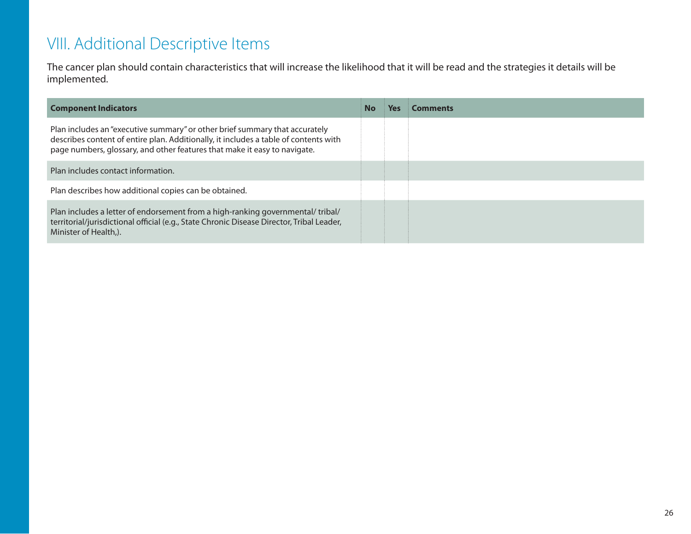# VIII. Additional Descriptive Items

The cancer plan should contain characteristics that will increase the likelihood that it will be read and the strategies it details will be implemented.

| <b>Component Indicators</b>                                                                                                                                                                                                                      | No | Yes | <b>Comments</b> |
|--------------------------------------------------------------------------------------------------------------------------------------------------------------------------------------------------------------------------------------------------|----|-----|-----------------|
| Plan includes an "executive summary" or other brief summary that accurately<br>describes content of entire plan. Additionally, it includes a table of contents with<br>page numbers, glossary, and other features that make it easy to navigate. |    |     |                 |
| Plan includes contact information.                                                                                                                                                                                                               |    |     |                 |
| Plan describes how additional copies can be obtained.                                                                                                                                                                                            |    |     |                 |
| Plan includes a letter of endorsement from a high-ranking governmental/tribal/<br>territorial/jurisdictional official (e.g., State Chronic Disease Director, Tribal Leader,<br>Minister of Health.).                                             |    |     |                 |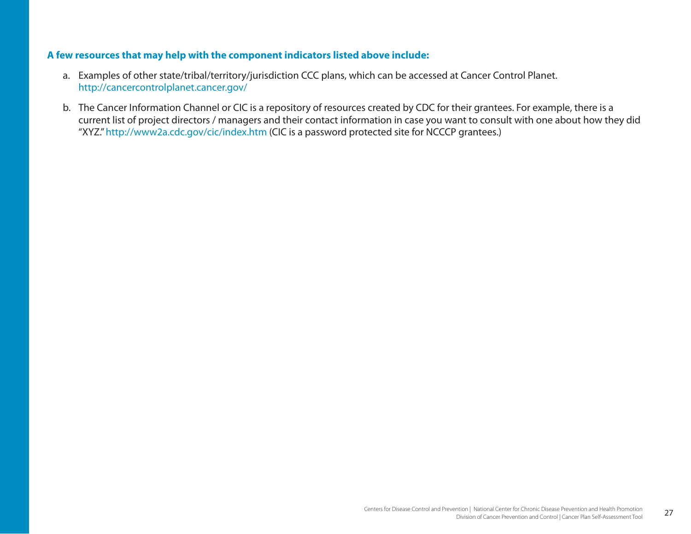- a. Examples of other state/tribal/territory/jurisdiction CCC plans, which can be accessed at Cancer Control Planet. <http://cancercontrolplanet.cancer.gov>/
- b. The Cancer Information Channel or CIC is a repository of resources created by CDC for their grantees. For example, there is a current list of project directors / managers and their contact information in case you want to consult with one about how they did "XYZ."<http://www2a.cdc.gov/cic/index.htm>(CIC is a password protected site for NCCCP grantees.)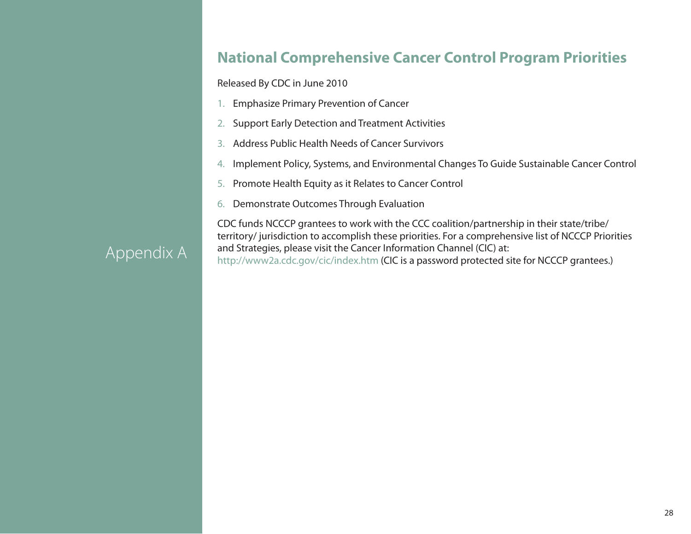### **National Comprehensive Cancer Control Program Priorities**

Released By CDC in June 2010

- 1. Emphasize Primary Prevention of Cancer
- 2. Support Early Detection and Treatment Activities
- 3. Address Public Health Needs of Cancer Survivors
- 4.Implement Policy, Systems, and Environmental Changes To Guide Sustainable Cancer Control
- 5.Promote Health Equity as it Relates to Cancer Control
- 6. Demonstrate Outcomes Through Evaluation

CDC funds NCCCP grantees to work with the CCC coalition/partnership in their state/tribe/ territory/ jurisdiction to accomplish these priorities. For a comprehensive list of NCCCP Priorities and Strategies, please visit the Cancer Information Channel (CIC) at: <http://www2a.cdc.gov/cic/index.htm> (CIC is a password protected site for NCCCP grantees.)

# Appendix A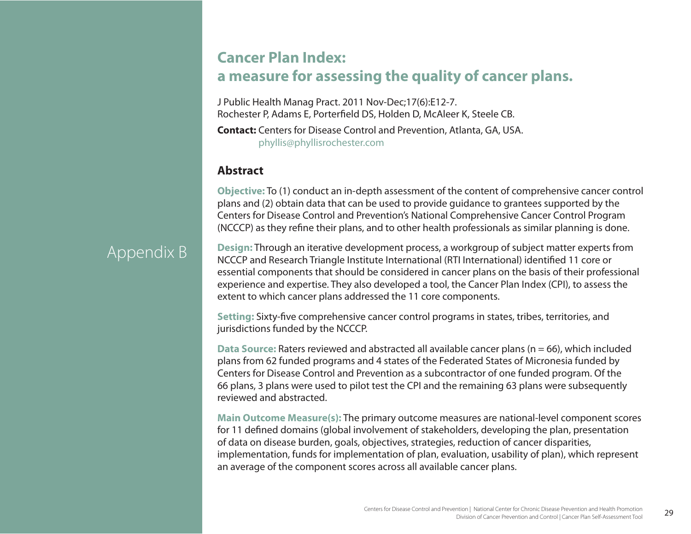### **Cancer Plan Index: a measure for assessing the quality of cancer plans.**

J Public Health Manag Pract. 2011 Nov-Dec;17(6):E12-7. Rochester P, Adams E, Porterfield DS, Holden D, McAleer K, Steele CB.

**Contact:** Centers for Disease Control and Prevention, Atlanta, GA, USA. [phyllis@phyllisrochester.com](mailto:phyllis@phyllisrochester.com)

### **Abstract**

**Objective:** To (1) conduct an in-depth assessment of the content of comprehensive cancer control plans and (2) obtain data that can be used to provide guidance to grantees supported by the Centers for Disease Control and Prevention's National Comprehensive Cancer Control Program (NCCCP) as they refine their plans, and to other health professionals as similar planning is done.

# Appendix B

**Design:** Through an iterative development process, a workgroup of subject matter experts from NCCCP and Research Triangle Institute International (RTI International) identified 11 core or essential components that should be considered in cancer plans on the basis of their professional experience and expertise. They also developed a tool, the Cancer Plan Index (CPI), to assess the extent to which cancer plans addressed the 11 core components.

**Setting:** Sixty-five comprehensive cancer control programs in states, tribes, territories, and jurisdictions funded by the NCCCP.

**Data Source:** Raters reviewed and abstracted all available cancer plans (n = 66), which included plans from 62 funded programs and 4 states of the Federated States of Micronesia funded by Centers for Disease Control and Prevention as a subcontractor of one funded program. Of the 66 plans, 3 plans were used to pilot test the CPI and the remaining 63 plans were subsequently reviewed and abstracted.

**Main Outcome Measure(s):** The primary outcome measures are national-level component scores for 11 defined domains (global involvement of stakeholders, developing the plan, presentation of data on disease burden, goals, objectives, strategies, reduction of cancer disparities, implementation, funds for implementation of plan, evaluation, usability of plan), which represent an average of the component scores across all available cancer plans.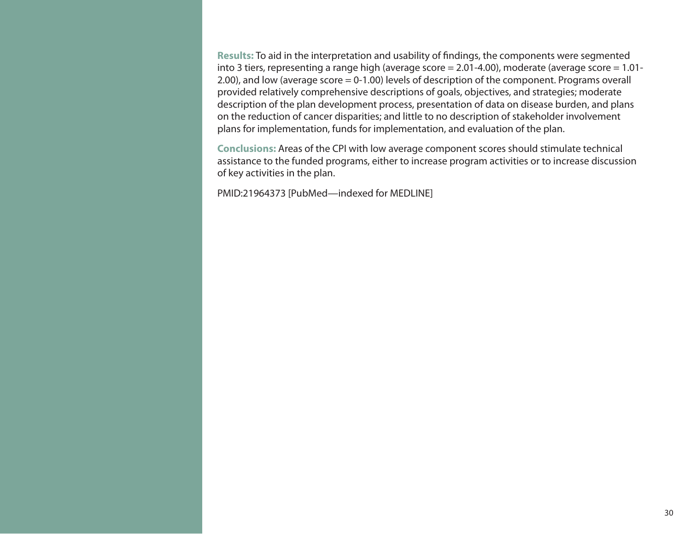**Results:** To aid in the interpretation and usability of findings, the components were segmented into 3 tiers, representing a range high (average score = 2.01-4.00), moderate (average score = 1.01- 2.00), and low (average score = 0-1.00) levels of description of the component. Programs overall provided relatively comprehensive descriptions of goals, objectives, and strategies; moderate description of the plan development process, presentation of data on disease burden, and plans on the reduction of cancer disparities; and little to no description of stakeholder involvement plans for implementation, funds for implementation, and evaluation of the plan.

**Conclusions:** Areas of the CPI with low average component scores should stimulate technical assistance to the funded programs, either to increase program activities or to increase discussion of key activities in the plan.

PMID:21964373 [PubMed—indexed for MEDLINE]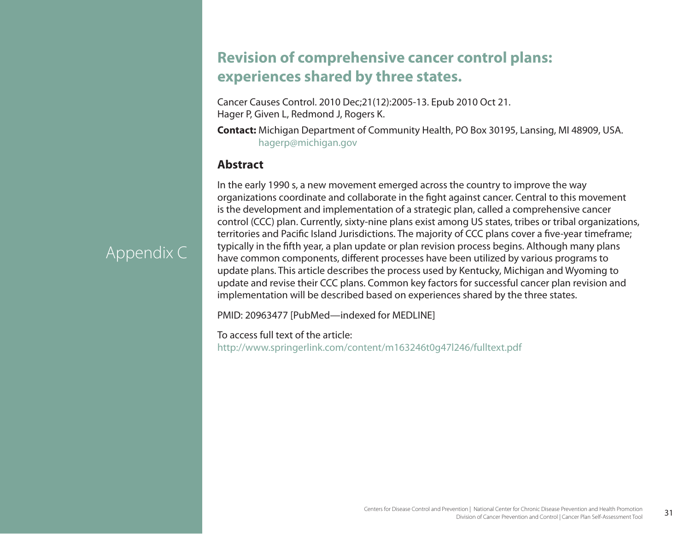### **Revision of comprehensive cancer control plans: experiences shared by three states.**

Cancer Causes Control. 2010 Dec;21(12):2005-13. Epub 2010 Oct 21. Hager P, Given L, Redmond J, Rogers K.

**Contact:** Michigan Department of Community Health, PO Box 30195, Lansing, MI 48909, USA. [hagerp@michigan.gov](mailto:hagerp@michigan.gov)

### **Abstract**

In the early 1990 s, a new movement emerged across the country to improve the way organizations coordinate and collaborate in the fight against cancer. Central to this movement is the development and implementation of a strategic plan, called a comprehensive cancer control (CCC) plan. Currently, sixty-nine plans exist among US states, tribes or tribal organizations, territories and Pacific Island Jurisdictions. The majority of CCC plans cover a five-year timeframe; typically in the fifth year, a plan update or plan revision process begins. Although many plans have common components, different processes have been utilized by various programs to update plans. This article describes the process used by Kentucky, Michigan and Wyoming to update and revise their CCC plans. Common key factors for successful cancer plan revision and implementation will be described based on experiences shared by the three states.

PMID: 20963477 [PubMed—indexed for MEDLINE]

To access full text of the article: <http://www.springerlink.com/content/m163246t0g47l246/fulltext.pdf>

# Appendix C